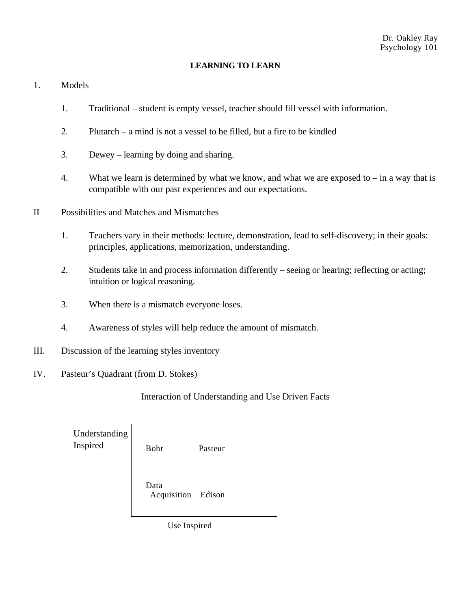## **LEARNING TO LEARN**

## 1. Models

- 1. Traditional student is empty vessel, teacher should fill vessel with information.
- 2. Plutarch a mind is not a vessel to be filled, but a fire to be kindled
- 3. Dewey learning by doing and sharing.
- 4. What we learn is determined by what we know, and what we are exposed to  $-$  in a way that is compatible with our past experiences and our expectations.
- II Possibilities and Matches and Mismatches
	- 1. Teachers vary in their methods: lecture, demonstration, lead to self-discovery; in their goals: principles, applications, memorization, understanding.
	- 2. Students take in and process information differently seeing or hearing; reflecting or acting; intuition or logical reasoning.
	- 3. When there is a mismatch everyone loses.
	- 4. Awareness of styles will help reduce the amount of mismatch.
- III. Discussion of the learning styles inventory
- IV. Pasteur's Quadrant (from D. Stokes)

Interaction of Understanding and Use Driven Facts

| Understanding<br>Inspired | Bohr                       | Pasteur |  |
|---------------------------|----------------------------|---------|--|
|                           | Data<br>Acquisition Edison |         |  |

Use Inspired